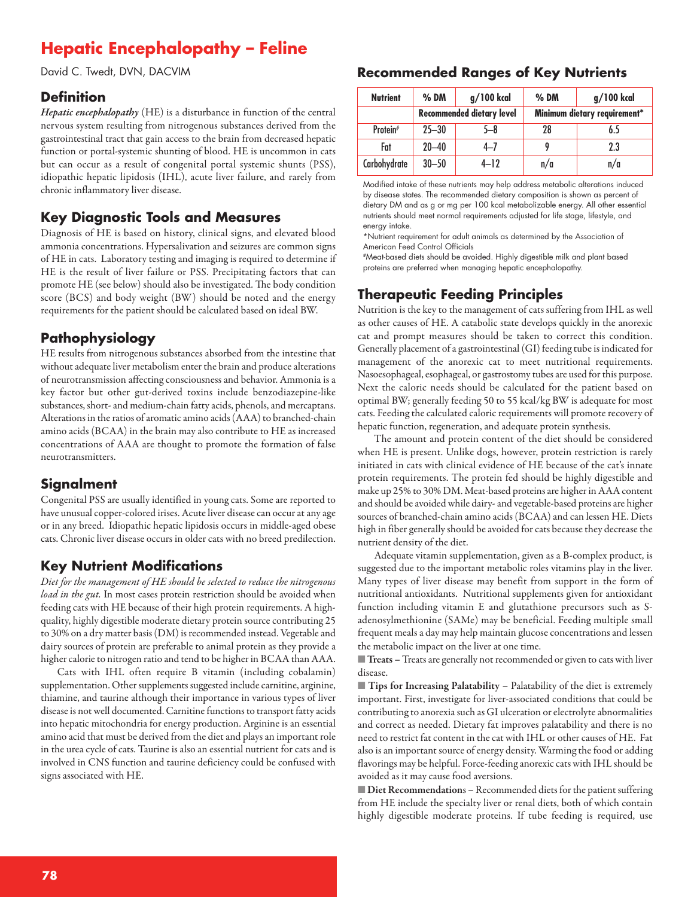# **Hepatic Encephalopathy – Feline**

David C. Twedt, DVN, DACVIM

#### **Definition**

*Hepatic encephalopathy* (HE) is a disturbance in function of the central nervous system resulting from nitrogenous substances derived from the gastrointestinal tract that gain access to the brain from decreased hepatic function or portal-systemic shunting of blood. HE is uncommon in cats but can occur as a result of congenital portal systemic shunts (PSS), idiopathic hepatic lipidosis (IHL), acute liver failure, and rarely from chronic inflammatory liver disease.

### **Key Diagnostic Tools and Measures**

Diagnosis of HE is based on history, clinical signs, and elevated blood ammonia concentrations. Hypersalivation and seizures are common signs of HE in cats. Laboratory testing and imaging is required to determine if HE is the result of liver failure or PSS. Precipitating factors that can promote HE (see below) should also be investigated. The body condition score (BCS) and body weight (BW) should be noted and the energy requirements for the patient should be calculated based on ideal BW.

# **Pathophysiology**

HE results from nitrogenous substances absorbed from the intestine that without adequate liver metabolism enter the brain and produce alterations of neurotransmission affecting consciousness and behavior. Ammonia is a key factor but other gut-derived toxins include benzodiazepine-like substances, short- and medium-chain fatty acids, phenols, and mercaptans. Alterations in the ratios of aromatic amino acids (AAA) to branched-chain amino acids (BCAA) in the brain may also contribute to HE as increased concentrations of AAA are thought to promote the formation of false neurotransmitters.

### **Signalment**

Congenital PSS are usually identified in young cats. Some are reported to have unusual copper-colored irises. Acute liver disease can occur at any age or in any breed. Idiopathic hepatic lipidosis occurs in middle-aged obese cats. Chronic liver disease occurs in older cats with no breed predilection.

### **Key Nutrient Modifications**

*Diet for the management of HE should be selected to reduce the nitrogenous load in the gut.* In most cases protein restriction should be avoided when feeding cats with HE because of their high protein requirements. A highquality, highly digestible moderate dietary protein source contributing 25 to 30% on a dry matter basis (DM) is recommended instead. Vegetable and dairy sources of protein are preferable to animal protein as they provide a higher calorie to nitrogen ratio and tend to be higher in BCAA than AAA.

Cats with IHL often require B vitamin (including cobalamin) supplementation. Other supplements suggested include carnitine, arginine, thiamine, and taurine although their importance in various types of liver disease is not well documented. Carnitine functions to transport fatty acids into hepatic mitochondria for energy production. Arginine is an essential amino acid that must be derived from the diet and plays an important role in the urea cycle of cats. Taurine is also an essential nutrient for cats and is involved in CNS function and taurine deficiency could be confused with signs associated with HE.

#### **Recommended Ranges of Key Nutrients**

| <b>Nutrient</b>      | $%$ DM                           | g/100 kcal | $%$ DM                       | $g/100$ kcal |
|----------------------|----------------------------------|------------|------------------------------|--------------|
|                      | <b>Recommended dietary level</b> |            | Minimum dietary requirement* |              |
| Protein <sup>#</sup> | $25 - 30$                        | 5-8        | 28                           | 6.5          |
| Fat                  | $20 - 40$                        | $4 - 7$    |                              | $2.3\,$      |
| Carbohydrate         | $30 - 50$                        | $4 - 12$   | n/a                          | n/a          |

Modified intake of these nutrients may help address metabolic alterations induced by disease states. The recommended dietary composition is shown as percent of dietary DM and as g or mg per 100 kcal metabolizable energy. All other essential nutrients should meet normal requirements adjusted for life stage, lifestyle, and energy intake.

\*Nutrient requirement for adult animals as determined by the Association of American Feed Control Officials

#Meat-based diets should be avoided. Highly digestible milk and plant based proteins are preferred when managing hepatic encephalopathy.

# **Therapeutic Feeding Principles**

Nutrition is the key to the management of cats suffering from IHL as well as other causes of HE. A catabolic state develops quickly in the anorexic cat and prompt measures should be taken to correct this condition. Generally placement of a gastrointestinal (GI) feeding tube is indicated for management of the anorexic cat to meet nutritional requirements. Nasoesophageal, esophageal, or gastrostomy tubes are used for this purpose. Next the caloric needs should be calculated for the patient based on optimal BW; generally feeding 50 to 55 kcal/kg BW is adequate for most cats. Feeding the calculated caloric requirements will promote recovery of hepatic function, regeneration, and adequate protein synthesis.

The amount and protein content of the diet should be considered when HE is present. Unlike dogs, however, protein restriction is rarely initiated in cats with clinical evidence of HE because of the cat's innate protein requirements. The protein fed should be highly digestible and make up 25% to 30% DM. Meat-based proteins are higher in AAA content and should be avoided while dairy- and vegetable-based proteins are higher sources of branched-chain amino acids (BCAA) and can lessen HE. Diets high in fiber generally should be avoided for cats because they decrease the nutrient density of the diet.

Adequate vitamin supplementation, given as a B-complex product, is suggested due to the important metabolic roles vitamins play in the liver. Many types of liver disease may benefit from support in the form of nutritional antioxidants. Nutritional supplements given for antioxidant function including vitamin E and glutathione precursors such as Sadenosylmethionine (SAMe) may be beneficial. Feeding multiple small frequent meals a day may help maintain glucose concentrations and lessen the metabolic impact on the liver at one time.

**Treats** – Treats are generally not recommended or given to cats with liver disease.

■ **Tips for Increasing Palatability –** Palatability of the diet is extremely important. First, investigate for liver-associated conditions that could be contributing to anorexia such as GI ulceration or electrolyte abnormalities and correct as needed. Dietary fat improves palatability and there is no need to restrict fat content in the cat with IHL or other causes of HE. Fat also is an important source of energy density. Warming the food or adding flavorings may be helpful. Force-feeding anorexic cats with IHL should be avoided as it may cause food aversions.

■ **Diet Recommendations** - Recommended diets for the patient suffering from HE include the specialty liver or renal diets, both of which contain highly digestible moderate proteins. If tube feeding is required, use